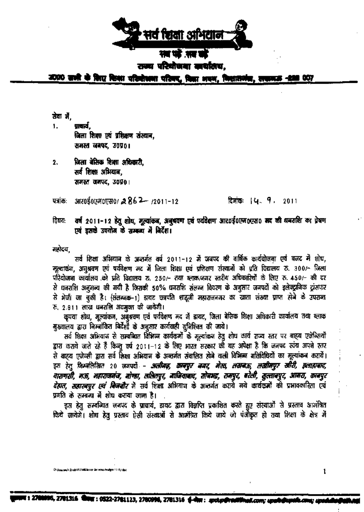

# राज्य परिधोजना सार्याताच.

2020 साली के लिए किया परिवोचना परिवर, विद्या अवन, निशासनंब, स

#### खेवा ले.

प्राचार्य. 1. जिला शिक्षा एवं प्रशिक्षण संस्थान, समस्त जनपद, उ०प्र०।

जिला बेसिक शिक्षा अधिकारी.  $2.$ सर्व शिक्षा अभियान. समस्त जनपद, उ०प्र०।

 $3005000000780$   $2862 - 12011 - 12$ पत्रांकः

#### दिवांकः । ५. प. 2011

वर्ष 2011-12 हेतू शोध, मूल्यांकन, अनुभवण एवं पर्यदेशण आर0ई0एम6एस0 मद की धनराशि का प्रेषण विषय: एवं इसके उपयोग के सम्बन्ध में बिर्देश।

मतोदय

सर्व शिक्षा अभियान के अन्तर्गत वर्ष 2011-12 में जनपद की वार्षिक कार्ययोजना एवं बजट में शोध, मूल्याकंज, अनुश्रवण एवं पर्यवेक्षण मद में जिला शिक्षा एवं प्रशिक्षण संस्थानों को एति विद्यालय रु. 300/- जिला परियोजना कार्यालय को प्रति विद्यालय रु. 250/- तथा ब्लाक/नगर स्तरीय अधिकारियों के लिए रु. 450/- की दर से घनराशि अनुमन्य की गयी है जिसकी 50% धनराशि संलग्न विवरण के अनुसार जनपरों को इलेक्ट्रानिक ट्रांसफर से भेजी जा चुकी है। (संलग्नक-1) डायट छत्रपति शाद्वजी महाराजनगर का खाता संख्या प्राप्त होने के उपराब्द रू, 2.811 लाख धनराशि अवमुक्त की जायेगी।

कृपया शोध, मूल्यांकन, अबुश्रवण एवं पर्यवेक्षण मद में डायट, जिला बेसिक शिक्षा अधिकारी कार्यालय तथा ब्लाक मुख्यालय द्वारा निम्बोंकित बिर्देशों के अनुसार कार्यवाही सुनिश्चित की जाये।

सर्व शिक्षा अभियान से सम्बन्धित विभिन्न कार्यकर्मों के मूल्यांकन हेतु शोध कार्य राज्य स्तर पर बाह्य एजेन्सियों हारा कराये जाते रहे हैं किन्दु वर्ष 2011-12 के लिए भारत सरकार को यह अपेक्षा है कि जनपद स्वंच अपने स्तर से बाहरा एजेन्सी द्वारा सर्व शिक्षा अभियान के अन्तर्गत संवालित होने वाली विभिन्न गतिथिधियों का मूल्यांकन करारें। इस हेत् जिम्बलिखित 20 जनपदों – अलीमद, काबपूर बगद, मेरठ, तसबऊ, तस्वीमपुर सीटी, झ्लाह्याद, वासणसी, मऊ, महाराजमंज, बोण्डा, तासितपुर, माजिजाबाद, सोबभद्र, समपुर, बरेली, सुल्ताबपुर, आमरा, काबपुर *देहात. सहारबपुर एवं बिजनौर* में सर्व शिक्षा अभियान के अन्तर्गत कराये गये कार्यकर्मों की प्रभावकारिता एवं प्रगति के सम्बन्ध में शोध कराया जाना है।

इस हेतू सम्बन्धित जनपद के प्राचार्य, डायट द्वारा विज्ञप्ति प्रकाशित करते हुए संस्थाओं से प्रस्ताव आमंत्रित किये जायेगें। शोध हेतु प्रस्ताव ऐसी संस्थाओं से आमंत्रित किये जाये जो पंजीकृत हो तथा शिक्षा के क्षेत्र में

**acam h Study (A.P.MB/letter Serverws**)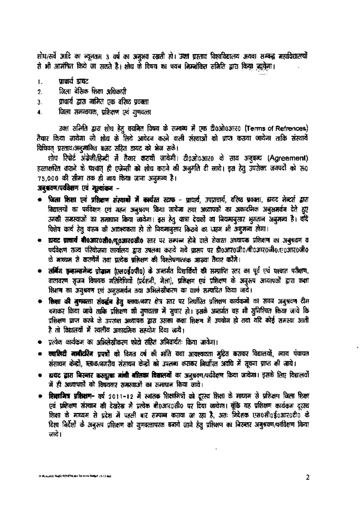शोध/सर्वे आदि का न्यूनतम 3 वर्ष का अनुभव रखती हो। उक्त प्रस्ताव विश्वविद्यालय अथवा सम्बद्ध महाविद्यालयों रो भी आमंत्रित किये जा सकते है। शोध के विषय का चयन निम्नांकित समिति द्वारा किया ज़ासेगा।

- प्राचार्य डायट  $\mathbf{1}$ .
- जिला बेसिक शिक्षा अधिकारी  $\overline{2}$
- प्राचार्य द्वारा नामित एक वरिष्ठ प्रवक्ता Э.
- जित्मा समन्वयक, प्रशिक्षण एवं गुणवत्ता 4.

उक्त समिति द्वारा शोध हेतु चयनित विषय के सम्बन्ध में एक दी0ओ0आर0 (Terms of Refrences) तैयार किया जायेगा जो शोध के लिये आवेदन करने वाली संस्थाओं को प्राप्त कराया जायेगा ताकि संस्थायें विधिवत प्रस्ताव/अनुमानित बजट सहित डायट को भेज सके।

शोध रिपोर्ट अंग्रेजी/हिन्दी में तैयार करायी जायेगी। टी0ओ0आर0 के साथ अनुबन्ध (Agreement) हस्ताक्षरित कराने के पश्चात् ही एजेन्सी को शोध कराने की अनुमति दी जाये। इस हेतु उपरोक्त जनपदों को रु0 75,000 की सीमा तक ही व्यय किया जाना अनुमन्य है।

# अनुभवण/पर्यवेशण एवं मुल्यांकन –

- जिला शिक्षा एवं प्रशिक्षण संस्थानों में कार्यरत स्टाफ प्राधार्य, उपप्राचार्य, वरिष्ठ प्रवक्ता, डायट मेन्टर्स द्वारा विद्यालयों का पर्यवेक्षण एवं अहब अबुश्रवण किया जायेला तथा अध्यापकों का अकादमिक अबुसमर्थब देते हुए उनकी समस्याओं का समाधान किया जायेगा। इस हेतु यात्रा देवकों का नियमानुसार भुजतान अनुमन्य है। यदि विशेष कार्य हेतु वाहन की आवश्यकता हो तो नियमानुसार किराये का धाहन भी अनुमन्य होगा।
- = हायट प्राचार्य बी0आर0सी0/व्0आर0सी0 स्तर पर सम्पन्न होने वाले सेवारत अध्यापक प्रशिक्षण का अनुश्रदण व पर्यवेक्षण राज्य परियोजना कार्यालय द्वारा उपलब्ध कराये अये प्रारूप पर डी०आर०जी०/बी०आर०जी०/ए०आर०जी० के माध्यम से करायेंगें तथा पत्येक प्रश्निक्षण की विश्लेषणात्मक आख्या तैयार करेंगे।
- लर्बिंग इन्हान्समेन्ट प्रोज्ञान (एल०ई०पी०) के अन्तर्गत विद्यार्थियों की सम्प्राप्ति स्तर का पूर्व एवं पश्चात परीक्षण, वातावरण सृजन विषयक गतिविधियों (प्रर्दशनी, मेला), प्रशिक्षण एवं प्रशिक्षण के अनुरूप अध्यापकों द्वारा कक्षा शिक्षण का अनुभवण एवं अनुसमर्थन तथा अभिलेखीकरण का कार्य सम्पादित किया जाये।
- रिम्सा की मुणवत्ता संवर्द्धन हेतु ब्लाक/नगर क्षेत्र स्तर पर लिघोरित प्रशिक्षण कार्यकर्मो का सघन अनुश्रवण दीम बनाकर किया जाये ताकि प्रशिक्षण की मुणदत्ता में सुधार हो। इसके अन्तर्गत यह भी सुनिश्चित किया जाये कि प्रशिक्षण प्राप्त करबे के उपसन्त अध्यापक द्वारा उसका कक्षा शिक्षण में उपयोग हो तथा यदि कोई समस्या आती है तो विद्यालयों में स्थलीय अकादमिक सहयोग दिया जाये।
- प्रत्येक कार्यक्रम का अभिलेखीकरण फोटो सहित अनिवार्यतः किया जायेगा।
- = क्वालिटी मानीटरिंग प्रपत्रों को विगत वर्ष की भांति यथा आवश्यकता मुद्रित कराकर विद्यालयों, व्याय पंचायत संसाधन केन्द्रों, ब्लाक/जगरीय संसाधन केन्द्रों को उपलब्ध कराकर निर्धारित अवधि में सूचना प्राप्त की जाये।
- ह्ययद द्वारा बिस्नार कस्तुरबा मांची बालिका विद्यालयों का अनुश्रवण/पर्यवेक्षण किया जायेगा। इसके लिए विद्यालयो में ही अध्यापकों को विषयवार समस्याओं का समाचान किया जाये।
- **शिक्षामित्र प्रशिक्षण-** वर्ष 2011-12 में स्नातक शिक्षामित्रों को दूरस्य शिक्षा के माध्यम से प्रशिक्षण जिला शिक्षा एवं प्रशिक्षण संस्थान की देखरेख में प्रत्येक बी0आर0सी0 पर दिया जायेगा। बूंकि यह प्रशिक्षण कार्यक्रम दूरस्थ शिक्षा के माध्यम से प्रदेश में पहली बार सम्पब्ज कराया जा रहा है, अतः निदेशक एस0सी0ई0आर0टी0 के दिशा निर्देशों के अनुरूप प्रशिक्षण को गुणवत्तापरक बनाये जाने हेतु प्रशिक्षण का निरन्तर अनुभवण/परविक्षण किया जाये ।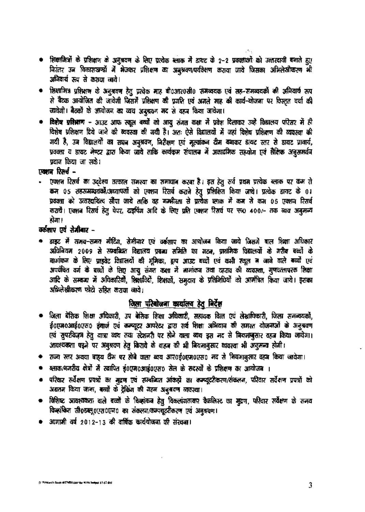- शिक्षामित्रों के प्रशिक्षण के अनुश्रवण के लिए प्रत्येक ब्लाक में डायट के 2-2 प्रवक्ताओं को उत्तरदायी बनाते हुए निरंतर उन विकासखण्डों में भेजकर प्रशिक्षण का अनुभवण/परविक्षण कराया जाये जिसका अभिलेखीकरण भी अनिवार्य रूप से कश्चन जाये।
- शिक्षामित्र प्रशिक्षण के अनुश्रदण हेतु प्रत्येक माह बी0आर0सी0 समन्वयक एवं सह-समन्वयकों की अनिवार्य रूप से बैटक आयोजित की जायेगी जिसमें प्रशिक्षण की प्रगति एवं अगले माह की कार्य-योजना पर विस्तृत चर्चा की जायेगी। बैठकों के अत्योजन का व्यय अनुश्रवण मद से वहन किया जायेगा।
- विशेष प्रशिक्षण आउट आफ स्कूल बच्चों को आयु संगत कक्षा में प्रवेश दिलाकर उन्हें विद्यालय परिसर में ही विशेष प्रशिक्षण दिये जाने की व्यवस्था की अयी है। अतः ऐसे विद्यालयों में जहां विशेष प्रशिक्षण की व्यवस्था की गयी है, उन विद्यालयों का सघन अनुश्रवण, निरीक्षण एवं मूल्यांकन दीम बनाकर डायट स्तर से डायट प्रावार्य, प्रवक्ता व डायट मेण्टर द्वारा किया जाये ताकि कार्यक्रम संचालन में अकादमिक सहयोग एवं शैक्षिक अनुसमर्थन प्रदान किया जा सके।

# एकान रिसर्च -

एक्शन रिसर्च का उद्देश्य तत्काल समस्या का समाधान करना है। इस हेतु सर्व प्रथम प्रत्येक ब्लाक पर कम से कम ०५ शहरामद्भागकों/अध्यापकों को एक्शन रिसर्च कराने हेतु प्रशिक्षित किया जाये। प्रत्येक डायट के ०१ प्रवक्ता को उत्तरदाधित्य सौंपा जाये ताकि वह गम्भीरता से प्रत्येक ब्लाक में कम से कम 05 एक्शन दिसर्व करायें। एक्शन रिसर्च हेत् पेपर, दाइपिंग आदि के लिए प्रति एक्शन रिसर्च पर रू0 400/- तक व्यय अनुमन्य होगा।

## वर्कशाए एवं सेमीबार -

्डाइट में समय-समय मीटिंग, सेमीवार एवं वर्कशाप का आयोजन किया जाये जिसमें बाल शिक्षा अधिकार अधिनियम 2009 से सम्बन्धित विद्यालय प्रबन्ध समिति का गठन, प्राथमिक विद्यालयों के गरीब बच्चों के बामांकन के लिए प्राइवेट विद्यालयों की भूमिका, ड्राप आउट बच्चों एवं कभी स्कूल न जाने वाले बच्चों एवं अपवंचित वर्ग के बच्चों के लिए आयू संगत कक्षा में नामांकन तथा दहराव की व्यवस्था, गुणवत्तापरक शिक्षा आदि के सम्बन्ध में अधिकारियों, शिक्षाविदों, शिक्षकों, समुदाय के प्रतिनिधियों को आमंत्रित किया जाये। इसका अभिलेखीकरण फोटो सहित कराया जाये।

# जिला परियोजना कार्यालय हेतु निर्देश

- जिला बेसिक शिक्षा अधिकारी, उप बेसिक शिक्षा अधिकारी, सहायक वित्त एवं लेखायिकारी, जिला समन्वयकों, ई0एम0आई0एस0 इंचार्ज एवं कम्प्यूटर आपरेटर द्वारा सर्व शिक्षा अभियान की समस्त योजनाओं के अनुश्रवण एवं सुपरविज्ञन हेतु यात्रा व्यय तथा स्टेशनरी पर होने वाला व्यय इस मद से बियमानुसार वहन किया जायेगा। आवश्यकता एड्ने पर अनुश्रवण हेतू किराये के वाहन की भी नियमानुसार व्यवस्था भी अनुमन्य होगी।
- राज्य स्तर अथवा बाह्य टीम पर होने वाला ब्यय आर0ई0एम0एस0 मद से नियमानुसार वहन किया जायेगा।
- ब्लाक/नजरीय क्षेत्रों में स्थापित ई0एम0आई0एस0 सेल के सदस्यों के प्रशिक्षण का आयोजन ।
- परिवार सर्वेक्षण प्रपत्रों का मुद्दण एवं सम्बन्धित आंकड़ों का कम्प्यूटरीकरण/संकलन, परिवार सर्वेक्षण प्रपत्रों को अद्यतन किया जाना, बच्चों के ट्रेकिंग की गहन अनुभवण व्यवस्था।
- विशिष्ट आवश्यकता वाले बच्चों के विकांकन हेतु विकलांगताकार वैकलिस्ट का मुद्रण, परिवार सर्वेक्षण के समय विकांकित सी0डब्लू0एस0एब0 का संकलब/कम्प्यूटरीकरण एवं अनुश्रवण।
- आगामी वर्ष 2012-13 की वार्षिक कार्ययोजन्दा की संस्थना।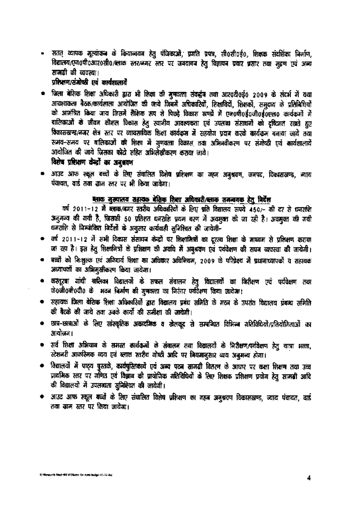सतत् व्यापक मूल्यांकन के कियान्वयन हेतु पंजिकाओं, प्रगति प्रपत्र, सी0सी0ई0, शिक्षक संदर्शिका निर्माण, विद्यालय/एन0पी0आर0सी0/ब्लाक स्तर/बगर स्तर पर जबवावब हेतु विज्ञापन प्रवार प्रसार तथा मुद्रण एवं अन्य सामग्री की व्यवस्था।

## प्रशिक्षण/संगोष्ठी एवं कार्यशालायें

जिला बेसिक शिक्षा अधिकारी द्वारा भी शिक्षा की मुणवत्ता संवर्द्धन तथा आर0दी0ई0 2009 के संदर्भ में यथा आवश्यकता बैठक/कार्यशाला आयोजित की जाये जिबमें अधिकारियों, शिक्षाविदों, शिक्षकों, समुदाय के प्रतिबिधियों को आमंत्रित किया जाय जिसमें शैक्षिक रूप से पिछड़े विकास खण्डों में एम0पी0ई0जी0ई0एल0 कार्यकर्मो में बालिकाओं के जीवन कौशल विकास हेतु स्वानीय आवश्यकता एवं उपलब्ध संसाधनों को दृष्टिजत रखते हुए किकासखण्ड/नजर क्षेत्र स्तर पर व्यावसायिक शिक्षा कार्यकृम में सहयोग प्रदान करके कार्यकृम बनाया जाये तथा समय-समय पर बालिकाओं की शिक्षा में मुणवत्ता विकास तथा अभिनवीकरण पर संगोष्ठी एवं कार्यशालायें आयोजित की जाये जिसका फोटो सहित अभिलेखीकरण कसया जाये।

# विशेष प्रशिक्षण केन्द्रों का अनुभवण

आउट आफ स्कूल बच्चों के लिए संचालित दिशेष प्रशिक्षण का महन अनुश्रवण, जनपद, विकासखण्ड, न्याय पंचायत, वार्ड तथा झाम स्तर पर भी किया जावेगा।

#### ब्लाक मुख्यालय शहायक बेशिक शिक्षा अधिकारी/ब्लाक समन्वयक हेतु निर्देश

वर्ष 2011-12 में ब्लाक/बगर स्तरीय अधिकारियों के लिए प्रति विद्यालय रूपये 450/- की दर से धनराशि अनुमन्य की गयी है, जिसकी 50 प्रतिशत धनराशि प्रथम बरण में अवमुक्त की जा रही है। अवमुक्त की गयी धनराशि से विम्बांकित विदेशों के अनुसार कार्यवाही सुनिश्चित की जायेगी-

- वर्ष 2011-12 में सभी विकास संसाधन केन्द्रों पर शिक्षामित्रों का दूरस्य शिक्षा के माध्यम से प्रशिक्षण कराया जा रहा है। इस हेतु शिक्षामित्रों के प्रशिक्षण की अवधि में अबुश्रवण एवं पर्यवेक्षण की सघन व्यवस्था की जायेगी।
- बच्चों को निःशुल्क एवं अनियार्य शिक्षा का अधिकार अधिनियम, 2009 के परिप्रेक्ष्य में प्रधानाध्यापकों व सहायक अध्यापकों का अभिमुखीकरण किया जायेगा।
- कस्तूरबा गांधी बालिका विद्यालयों के सफल संवालन हेतु विद्यालयों का निरीक्षण एवं पर्यवेक्षण तथा के0जी0बी0वी0 के भवन निर्माण की मुणकत्ता का निरंतर पर्यवेक्षण किया जायेगा।
- सहायक जिला बेसिक शिक्षा अधिकारियों द्वारा विद्यालय प्रबंध समिति के मठन के उपरांत विद्यालय प्रबन्ध समिति की बैटको की जाये तथा उबके कार्यों की समीक्षा की जायेगी।
- छात्र-छात्राओं के लिए सांस्कृतिक अकादमिक व खेलकूद से सम्बन्धित विभिन्न गतिविधियों/प्रतियोगिताओं का आयोजन।
- सर्व शिक्षा अभियान के समस्त कार्यकर्मो के संवालन तया विद्यालयों के निरीक्षण/पर्यवेक्षण हेतु यात्रा भत्ता, स्टेशनरी आकस्मिक व्यय एवं ब्लाक स्तरीय गोष्ठी आदि पर नियमानुसार व्यय अनुमन्य होगा।
- विद्यालयों में पाट्य पुस्तके, कार्यपुस्तिकार्ये एवं अन्य पठन सामग्री वितरण के आधार पर कक्षा शिक्षण तथा उच्च प्राथमिक स्तर पर गणित एवं विज्ञान की प्रायोगिक गतिविधियों के लिए शिक्षक प्रशिक्षण प्रयोग हेतु सामग्री आदि की विद्यालयों में उपलब्धता सुनिश्चित की जायेगी।
- आउट आफ स्कूल बच्चों के लिए संचालित विशेष प्रशिक्षण का महब अनुश्रवण विकासखण्ड, व्याय पंचायत, वार्ड तथा खाम स्तर पर किया जायेगा।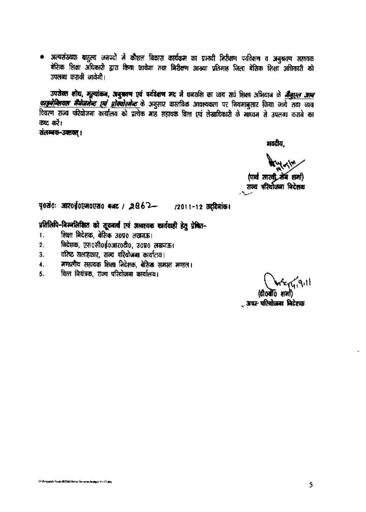• अत्यसंख्यक बाहुल्य जनपदों में कौशल विकास कार्यक्रम का प्रभावी निरीक्षण पर्यवेक्षण व अनुश्रवण सहायक बेसिक शिक्षा अधिकारी द्वारा किया जायेगा तथा निरीक्षण आरुया प्रतिमाह जिला बेसिक शिक्षा अधिकारी को उपलब्ध करायी जायेगी।

उपरोक्त शोध, मूल्यांकन, अनुऋक्ष एवं पर्यवेशण मद में घनराशि का व्यय सर्व शिक्षा अभियान के *मैंजुएल आन* <u>काइनेन्शियल मैनेजमेन्ट एवं प्रोक्योरमेन्ट के अनु</u>सार वास्तविक आवश्यकता पर नियमानुसार किया जाये तथा व्यय .<br>विवरण राज्य परियोजना कार्यालय को प्रत्येक माह सहायक वित्त एवं लेखाधिकारी के माघ्यम से उपलब्ध कराबे का ਰਬਟ ਰਹੇ।

संतम्बक-उक्तवत् ।

भवदीय.

(पार्थ सारवी तेन शमा) राज्य परियोजना निदेशक

पृथ्वंः आर०ई०एम०एस० बजट / २८62- /2011-12 तद्दिनांक।

# प्रतिलिपि-निम्नलिखित को सूचनार्थ एवं आवश्यक कार्यवाही हेतु प्रेषित-

- शिक्षा निदेशक, बेरिक उ०प्र० लखनऊ।  $\mathbf{1}$ .
- निदेशक, एस0सी0ई0आर0टी0, उ०प्र0 लखनऊ।  $\overline{2}$ .
- वरिष्ठ सलाहकार, राज्य परियोजना कार्यालय। 3.
- मण्डलीय सहायक शिक्षा निदेशक, बेसिक समस्त मण्डल। 4.
- वित्त वियंत्रक, राज्य परियोजना कार्यालय। 5.

**Ery 9.11** 

्र अपर<sup>,</sup> परियोजना निदेशक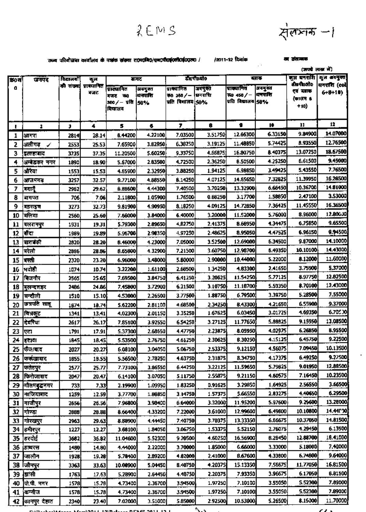$2EMS$ 



## राज्य परियोजना कार्यालय के पत्रांक संस्था राज्यामिड/एमएपीएफ्(एसीएफ्(एएस) / / /2011-12 दिनांक

का संसम्बन्ध

|          | जनपद                    | विद्यालयाँ   | कुल                  |                    |                    |                        |                    |                    |                    | (ऊपचे लाख में)        |                          |  |
|----------|-------------------------|--------------|----------------------|--------------------|--------------------|------------------------|--------------------|--------------------|--------------------|-----------------------|--------------------------|--|
| क्र0सं   |                         |              |                      | सवट                |                    | डोoपीoबोo              |                    | ब्ताक              |                    |                       | जुल बनराशि   कुल अवमुक्त |  |
| a        |                         |              | को संख्या प्रानमानित | प्राक्यानित        | अवमुक्त            | पाक्यानित              | जनपुक्त            | प्राक्याणित        | जवमुक्त            | सीवणीशतीय<br>एवं बताक | घनसारा (col              |  |
|          |                         |              | बजट                  | ৰত<br>गणर          | धनरासि             | रू6 250 / -   प्रनराशि |                    | そ0 450/一           | धनराशि             | (कालम 8               | $6+8+10$                 |  |
|          |                         |              |                      | soo / – पवि  50%   |                    | पति विचालय 50%         |                    | पति विद्यालय 58%   |                    | $+10)$                |                          |  |
|          |                         |              |                      | विघालय             |                    |                        |                    |                    |                    |                       |                          |  |
| ı.       | $\overline{\mathbf{a}}$ | J.           | 4                    | 5                  | ۰                  | 7                      | 6                  | 9                  | ĸ                  | 11                    | 11                       |  |
| 1        | आगरा                    | 2814         | 28.14                | 8.44200            | 4.22100            | 7.03500                | 3.51750            | 12.66300           | 6.33150            | 9.84900               | 14.07000                 |  |
| 2        | अलीगढ<br>✔              | 2553         | 25.53                | 7.65900            | 3.82950            | 6,38250                | 3.19125            | 11.48850           | 5.74425            | 8.93550               | 12.76500                 |  |
| 3        | इलाहादाद                | 3735         | 37.35                | 11.20500           | 5.60250            | 9.33750                | 4.66875            | 16.80750           | 8.40375            | 13.07250              | 18.67500                 |  |
| 4        | अम्बेडकर नगर            | 1890         | 18.90                | 5.67000            | 2.83500            | 4.72500                | 2.36250            | 8.50500            | 4.25250            | 6.61500               | 9.45000                  |  |
| 5        | औरया                    | 1553         | 15.53                | 4.65900            | 2.32950            | 3.88250                | 1.94125            | 6.98850            | 3.49425            | 5.43550               | 7.76500                  |  |
| 6        | आजमगढ                   | 3257         | 32.57                | 9.77100            | 4.88550            | <b>B.14250</b>         | 4.07125            | 14.65650           | 7.32825            | 11.39950              | 16,28500                 |  |
| 7        | ारायें                  | 2962         | 29.62                | <b>B.BB600</b>     | 4.44300            | 7.40500                | 3.70250            | 13.32900           | 6.66450            | 10.36700              | 14,81000                 |  |
| 8        | बागपत                   | 706          | 7.06                 | 2.11800            | 1.05900            | 1.76500                | 0.88250            | 3.17700            | 1.58850            | 2.47100               | 3.53000                  |  |
| 9        | बहराइच                  | 3273         | 32.73                | 9.81900            | 4.90950            | 8.18250                | 4.09125            | 14.72850           | 7.36425            | 11.45550              | 16.36500                 |  |
| 10       | बिलिया                  | 2560         | 25.60                | 7.68000            | 3.84000            | 6.40000                | 3.20000            | 11.52000           | 5.76000            | 8.96000               | 12.80000                 |  |
| 11       | बलरामपुर                | 1931         | 19.31                | 5.79300            | 2.89650            | 4,82750                | 2.41375            | 8.66950            | 1,34475            | 6.75850               | 9.65500                  |  |
| 12       | तौरा                    | 1989         | 19.89                | 5.96700            | 2.98350            | 4.97250                | 2.48625            | 8.95050            | 4.47525            | 6.96150               | 9,94500                  |  |
| 13       | बाराबकी                 | 2820         | 28.20                | 8.46000            | 4.73000            | 7.05000                | 3.52500            | 12.69000           | 6.34500            | 9.87000               | 14,10000                 |  |
| 14       | बिरेलो                  | 2866         | 28.86                | 8.65800            | 4.32900            | 7.21500                | 3.60750            | 12.98700           | 6.49350            | 10.10100              | 14.43000                 |  |
| 15       | परती                    | 2320         | 23.20                | 6.96000            | 3,48000            | 5.80000                | 2.90000            | 10,44000           | 5.22000            | 8.12000               | 11,60000                 |  |
| 16       | भदोही                   | 1074         | 10.74                | 3.22200            | 1.61100            | 2.68500                | 1.34250            | 4.83300            | 2.41650            | 3.75900               | 5,37000                  |  |
| 17       | विजनौर                  | 2565         | 25.65                | 7.69500            | 3.84750            | 6,41250                | 3.20625            | 11.54250           | 5.77125            | 8.97750               | 12.82500                 |  |
| 18       | मुलन्दशहर               | 2486         | 24.86                | 7.45800            | 3.72900            | 6.21500                | 3.10750            | 11.18700           | 5.59350            | 8.70100               | 12.43000                 |  |
| 19       | सन्दौली                 | 1510         | 15.10                | 4.53000            | 2.26500            | 3.77500                | 1.88750            | 6.79500            | 3.39750            | 5.28500               | 7.55000                  |  |
| 20       | छत्रपति साहू            | 1874         | 18.74                | 5.62200            | 2.81100            | 4.68500                | 2.34250            | 8.43300            | 4.21650            | 6.55900               | 9.37000                  |  |
| 21       | वित्रकूट                | 1341         | 13.41                | 4,02300            | 2.01150            | 3.35250                | 1.67625            | 6.03450            | 3.01725            | 4.69350               | 6.705.X                  |  |
| 22       | दिवरिया                 | 2617         | 26.17                | 7.85100            | 3.92550            | 6.54250                | 3.27125            | 11.77650           | 5.88825            | 9.15950               | 13.08500                 |  |
| 23       | एटा                     | 1791         | 17.91                | 5.37300            | 2.68650            | 4.47750                | 2.23875            | 8.05950            | 4.02975            | 6.26850               | 8.95500                  |  |
| 24       | इटावा                   | 1845         | 18.45                | 5.53500            | 2.76750            | 4 61 750               | 2.30625            | 6.30250            | 4.15125            | 6.45750               | 9.22500                  |  |
| 25       | फेजाबाद                 | 2027         | 20.27                | 6.08100            | 3.04050            | 5.06750                | 2.53375            | 9.12150            | 4.56075            | 7.09450               | 10.13500                 |  |
| 26       | किर्कखाबाद              | 1655         | 18.55)               | 5,56500            | 2.78250            | 4.63750                | 2.31875            | 8.34750            | 4.17375            | 6.49250               | 9.27500                  |  |
| 27       | फतेहपुर                 | 2577         | 25.77                | 7.73100            | 3.86550            | 6.44250                | 3.22125            | 11.59650           | 5.79825            | 9.01950               | 12.88500                 |  |
| 28       | फिरोजाबाद               | 2047         | 20.47                | 6.14100            | 3.07050            | 5.11750                | 2.55875            | 9.21150            | 4.60575            | 7 16450               | 10,23500                 |  |
| 29       | गितमदुद्धनगर            | 733          | 7.33                 | 2.19900            | 1.09950            | 1.83250                | 0.91625            | 3.29850            | 1.64925            | 2.56550               | 3.66500                  |  |
| 30       | गाजियागद                | 1259         | 12.59                | 3,77700            | 1.88850            | 3.14750                | 1.57375            | 5.66550            | 2.83275            | 4.40650               | 6.29500                  |  |
| 31       | गाजीपुर                 | 2656         | 26.56                | 7.96800            | 3.98400            | 6.64000                | 3.32000            | 11.95200           | 5.97600            | 9.25600               | 13.28000<br>14.440 X     |  |
| 32       | गोण्डा                  | 2689         | 28.88                | 8.66400            | 4.33200            | 7.22000                | 3.61000            | 12.99600           | 6,49600            | 10.10800              | 14.81500                 |  |
| 33       | गोरखपुर                 | 2963         | 29.63                | 8,88900            | 4.44450            | 7.40750                | 3.70375            | 13.33350           | 6.66675            | 10.37050<br>4.29450   | 6.13500                  |  |
| 34       | हमीरपुर                 | 1227         | 12.27                | 3.68100            | 1.84050            | 3.06750                | 1.53375            | 5.52150            | 2,76075<br>8.29450 | 12.88700              | 18.41000                 |  |
| 35       | हरदोई                   | 3682         | 36.82                | 11.04600           | 5.52300            | 9.20500                | 4.60250<br>1.85000 | 16.56900           | 3.33000            | 5.18000               | 7,40000                  |  |
| 36       | ।हाथरस                  | 1480         | 14.80                | 4.44000            | 2.22000            | 3.70000                | 2.41000            | 6.66000<br>B.67600 | 4.33800            | 6,74800               | 9.64000                  |  |
| 37       | जालौन                   | 1978         | 19,28                | 5.78400            | 2,89200            | 4.82000                | 4.20375            | 15.13350           | 7.56675            | 11.77050              | 16.81500                 |  |
| 38       | जिनपुर                  | 3363         | 33.63                | 10.00900           | 5.04450            | 8.40750                |                    | 7.93350            | 3,96675            | 6.17050               | 6.81500                  |  |
| 39       | झांसी<br>जि.पी. नगर     | 1763         | 17.63                | 5.28900            | 2.64450            | 4.40750                | 2.20375<br>1.97250 | 7.10100            | 3.55050            | 5.52300               | 7.89000                  |  |
| 40<br>41 | (कनीज                   | 1578         | 15.78<br>15.78       | 4.73400<br>4.73400 | 2.36700<br>2.36700 | 3.94500<br>3.94500     | 1.97250            | 7.10100            | 3,55050            | 5.52300               | 7.89000                  |  |
|          | 42 किनपर देहात          | 1578<br>2340 | 23.40                | 7.02000            | 3.51000            | 5.85000                | 2.92500            | 10.53000           | 5.26500            | 8.15000               | 11.70000                 |  |
|          |                         |              |                      |                    |                    |                        |                    |                    |                    |                       |                          |  |